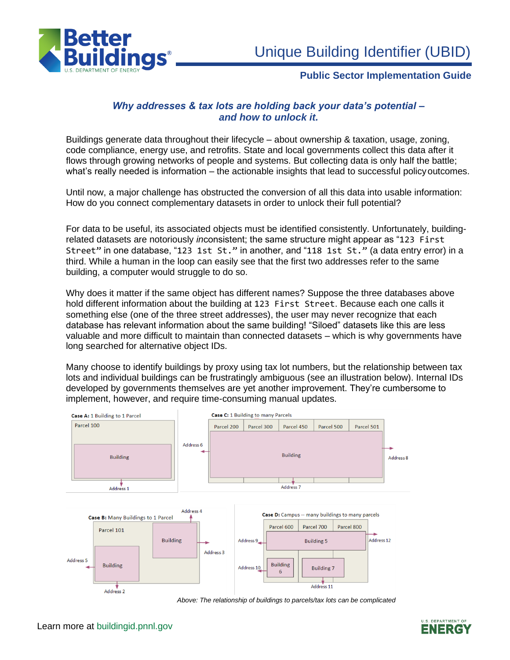

# **Public Sector Implementation Guide**

# *Why addresses & tax lots are holding back your data's potential – and how to unlock it.*

Buildings generate data throughout their lifecycle – about ownership & taxation, usage, zoning, code compliance, energy use, and retrofits. State and local governments collect this data after it flows through growing networks of people and systems. But collecting data is only half the battle; what's really needed is information – the actionable insights that lead to successful policy outcomes.

Until now, a major challenge has obstructed the conversion of all this data into usable information: How do you connect complementary datasets in order to unlock their full potential?

For data to be useful, its associated objects must be identified consistently. Unfortunately, buildingrelated datasets are notoriously *in*consistent; the same structure might appear as "123 First Street" in one database, "123 1st St." in another, and "118 1st St." (a data entry error) in a third. While a human in the loop can easily see that the first two addresses refer to the same building, a computer would struggle to do so.

Why does it matter if the same object has different names? Suppose the three databases above hold different information about the building at 123 First Street. Because each one calls it something else (one of the three street addresses), the user may never recognize that each database has relevant information about the same building! "Siloed" datasets like this are less valuable and more difficult to maintain than connected datasets – which is why governments have long searched for alternative object IDs.

Many choose to identify buildings by proxy using tax lot numbers, but the relationship between tax lots and individual buildings can be frustratingly ambiguous (see an illustration below). Internal IDs developed by governments themselves are yet another improvement. They're cumbersome to implement, however, and require time-consuming manual updates.



*Above: The relationship of buildings to parcels/tax lots can be complicated*

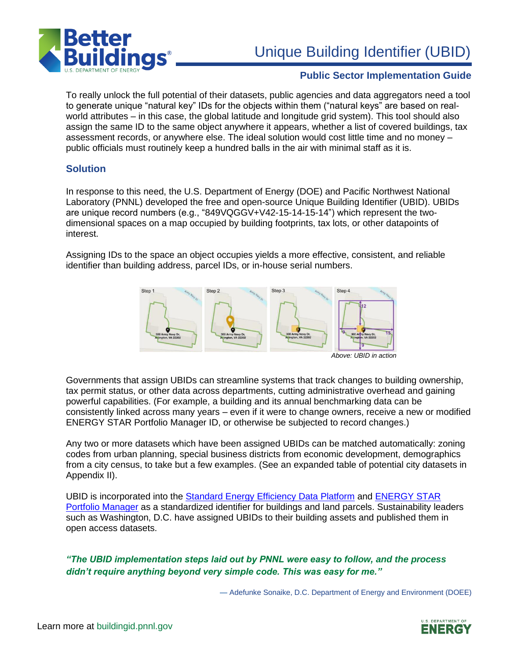

# Unique Building Identifier (UBID)

# **Public Sector Implementation Guide**

To really unlock the full potential of their datasets, public agencies and data aggregators need a tool to generate unique "natural key" IDs for the objects within them ("natural keys" are based on realworld attributes – in this case, the global latitude and longitude grid system). This tool should also assign the same ID to the same object anywhere it appears, whether a list of covered buildings, tax assessment records, or anywhere else. The ideal solution would cost little time and no money – public officials must routinely keep a hundred balls in the air with minimal staff as it is.

# **Solution**

In response to this need, the U.S. Department of Energy (DOE) and Pacific Northwest National Laboratory (PNNL) developed the free and open-source Unique Building Identifier (UBID). UBIDs are unique record numbers (e.g., "849VQGGV+V42-15-14-15-14") which represent the twodimensional spaces on a map occupied by building footprints, tax lots, or other datapoints of interest.

Assigning IDs to the space an object occupies yields a more effective, consistent, and reliable identifier than building address, parcel IDs, or in-house serial numbers.



*Above: UBID in action*

Governments that assign UBIDs can streamline systems that track changes to building ownership, tax permit status, or other data across departments, cutting administrative overhead and gaining powerful capabilities. (For example, a building and its annual benchmarking data can be consistently linked across many years – even if it were to change owners, receive a new or modified ENERGY STAR Portfolio Manager ID, or otherwise be subjected to record changes.)

Any two or more datasets which have been assigned UBIDs can be matched automatically: zoning codes from urban planning, special business districts from economic development, demographics from a city census, to take but a few examples. (See an expanded table of potential city datasets in Appendix II).

UBID is incorporated into the [Standard Energy Efficiency Data Platform](file:///D:/WK/AllFolders/CBI/seed-platform.io) and [ENERGY STAR](https://www.energystar.gov/buildings/facility-owners-and-managers/existing-buildings/use-portfolio-manager) [Portfolio Manager](https://www.energystar.gov/buildings/facility-owners-and-managers/existing-buildings/use-portfolio-manager) as a standardized identifier for buildings and land parcels. Sustainability leaders such as Washington, D.C. have assigned UBIDs to their building assets and published them in open access datasets.

*"The UBID implementation steps laid out by PNNL were easy to follow, and the process didn't require anything beyond very simple code. This was easy for me."*

— Adefunke Sonaike, D.C. Department of Energy and Environment (DOEE)

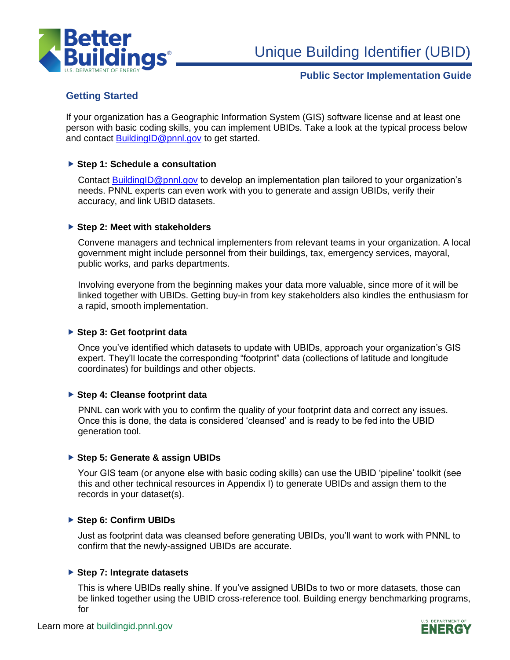

Unique Building Identifier (UBID)

# **Public Sector Implementation Guide**

# **Getting Started**

If your organization has a Geographic Information System (GIS) software license and at least one person with basic coding skills, you can implement UBIDs. Take a look at the typical process below and contact [BuildingID@pnnl.gov](mailto:BuildingID@pnnl.gov) to get started.

# **Step 1: Schedule a consultation**

Contact [BuildingID@pnnl.gov](mailto:BuildingID@pnnl.gov) to develop an implementation plan tailored to your organization's needs. PNNL experts can even work with you to generate and assign UBIDs, verify their accuracy, and link UBID datasets.

# **Step 2: Meet with stakeholders**

Convene managers and technical implementers from relevant teams in your organization. A local government might include personnel from their buildings, tax, emergency services, mayoral, public works, and parks departments.

Involving everyone from the beginning makes your data more valuable, since more of it will be linked together with UBIDs. Getting buy-in from key stakeholders also kindles the enthusiasm for a rapid, smooth implementation.

# **Step 3: Get footprint data**

Once you've identified which datasets to update with UBIDs, approach your organization's GIS expert. They'll locate the corresponding "footprint" data (collections of latitude and longitude coordinates) for buildings and other objects.

#### **Step 4: Cleanse footprint data**

PNNL can work with you to confirm the quality of your footprint data and correct any issues. Once this is done, the data is considered 'cleansed' and is ready to be fed into the UBID generation tool.

# **Step 5: Generate & assign UBIDs**

Your GIS team (or anyone else with basic coding skills) can use the UBID 'pipeline' toolkit (see this and other technical resources in Appendix I) to generate UBIDs and assign them to the records in your dataset(s).

# **Step 6: Confirm UBIDs**

Just as footprint data was cleansed before generating UBIDs, you'll want to work with PNNL to confirm that the newly-assigned UBIDs are accurate.

#### **Step 7: Integrate datasets**

This is where UBIDs really shine. If you've assigned UBIDs to two or more datasets, those can be linked together using the UBID cross-reference tool. Building energy benchmarking programs, for

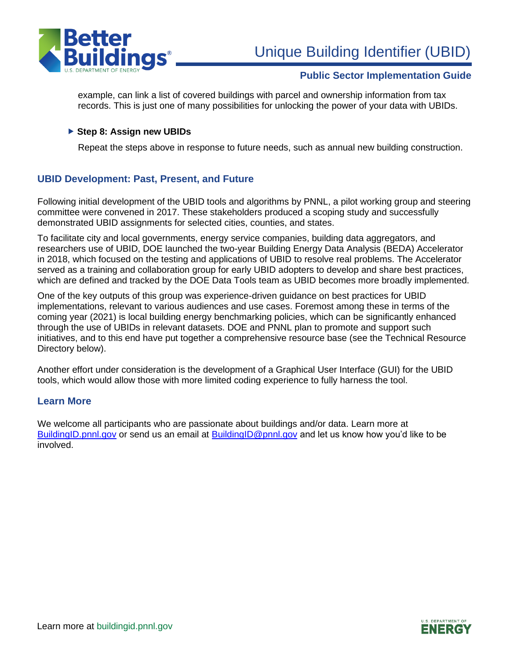

# **Public Sector Implementation Guide**

example, can link a list of covered buildings with parcel and ownership information from tax records. This is just one of many possibilities for unlocking the power of your data with UBIDs.

#### ▶ Step 8: Assign new UBIDs

Repeat the steps above in response to future needs, such as annual new building construction.

# **UBID Development: Past, Present, and Future**

Following initial development of the UBID tools and algorithms by PNNL, a pilot working group and steering committee were convened in 2017. These stakeholders produced a scoping study and successfully demonstrated UBID assignments for selected cities, counties, and states.

To facilitate city and local governments, energy service companies, building data aggregators, and researchers use of UBID, DOE launched the two-year Building Energy Data Analysis (BEDA) Accelerator in 2018, which focused on the testing and applications of UBID to resolve real problems. The Accelerator served as a training and collaboration group for early UBID adopters to develop and share best practices, which are defined and tracked by the DOE Data Tools team as UBID becomes more broadly implemented.

One of the key outputs of this group was experience-driven guidance on best practices for UBID implementations, relevant to various audiences and use cases. Foremost among these in terms of the coming year (2021) is local building energy benchmarking policies, which can be significantly enhanced through the use of UBIDs in relevant datasets. DOE and PNNL plan to promote and support such initiatives, and to this end have put together a comprehensive resource base (see the Technical Resource Directory below).

Another effort under consideration is the development of a Graphical User Interface (GUI) for the UBID tools, which would allow those with more limited coding experience to fully harness the tool.

#### **Learn More**

We welcome all participants who are passionate about buildings and/or data. Learn more at [BuildingID.pnnl.gov](https://buildingid.pnnl.gov/) or send us an email at [BuildingID@pnnl.gov](mailto:BuildingID@pnnl.gov) and let us know how you'd like to be involved.

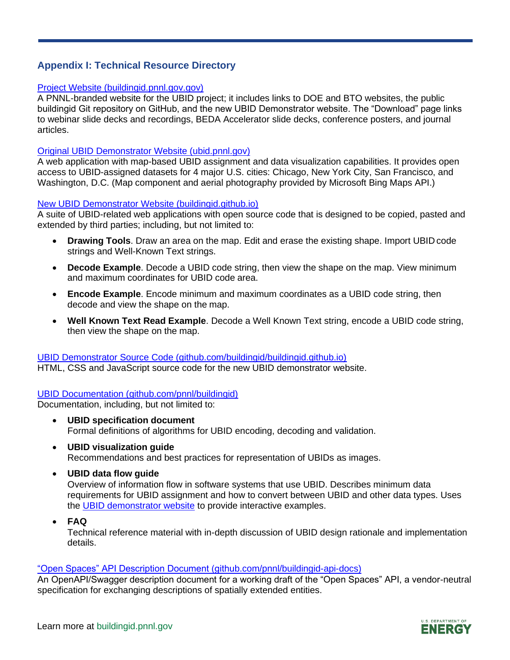# **Appendix I: Technical Resource Directory**

#### [Project Website \(buildingid.pnnl.gov.gov\)](https://buildingid.pnnl.gov/)

A PNNL-branded website for the UBID project; it includes links to DOE and BTO websites, the public buildingid Git repository on GitHub, and the new UBID Demonstrator website. The "Download" page links to webinar slide decks and recordings, BEDA Accelerator slide decks, conference posters, and journal articles.

# [Original UBID Demonstrator Website \(ubid.pnnl.gov\)](http://ubid.pnnl.gov/)

A web application with map-based UBID assignment and data visualization capabilities. It provides open access to UBID-assigned datasets for 4 major U.S. cities: Chicago, New York City, San Francisco, and Washington, D.C. (Map component and aerial photography provided by Microsoft Bing Maps API.)

# [New UBID Demonstrator Website \(buildingid.github.io\)](https://buildingid.github.io/)

A suite of UBID-related web applications with open source code that is designed to be copied, pasted and extended by third parties; including, but not limited to:

- **Drawing Tools**. Draw an area on the map. Edit and erase the existing shape. Import UBID code strings and Well-Known Text strings.
- **Decode Example**. Decode a UBID code string, then view the shape on the map. View minimum and maximum coordinates for UBID code area.
- **Encode Example**. Encode minimum and maximum coordinates as a UBID code string, then decode and view the shape on the map.
- **Well Known Text Read Example**. Decode a Well Known Text string, encode a UBID code string, then view the shape on the map.

# [UBID Demonstrator Source Code \(github.com/buildingid/buildingid.github.io\)](https://github.com/buildingid/buildingid.github.io)

HTML, CSS and JavaScript source code for the new UBID demonstrator website.

# [UBID Documentation \(github.com/pnnl/buildingid\)](http://github.com/pnnl/buildingid)

Documentation, including, but not limited to:

- **UBID specification document** Formal definitions of algorithms for UBID encoding, decoding and validation.
- **UBID visualization guide** Recommendations and best practices for representation of UBIDs as images.
- **UBID data flow guide**

Overview of information flow in software systems that use UBID. Describes minimum data requirements for UBID assignment and how to convert between UBID and other data types. Uses the [UBID demonstrator website](https://buildingid.github.io/) to provide interactive examples.

• **FAQ**

Technical reference material with in-depth discussion of UBID design rationale and implementation details.

#### ["Open Spaces" API Description Document \(github.com/pnnl/buildingid-api-docs\)](https://github.com/pnnl/buildingid-api-docs)

An OpenAPI/Swagger description document for a working draft of the "Open Spaces" API, a vendor-neutral specification for exchanging descriptions of spatially extended entities.

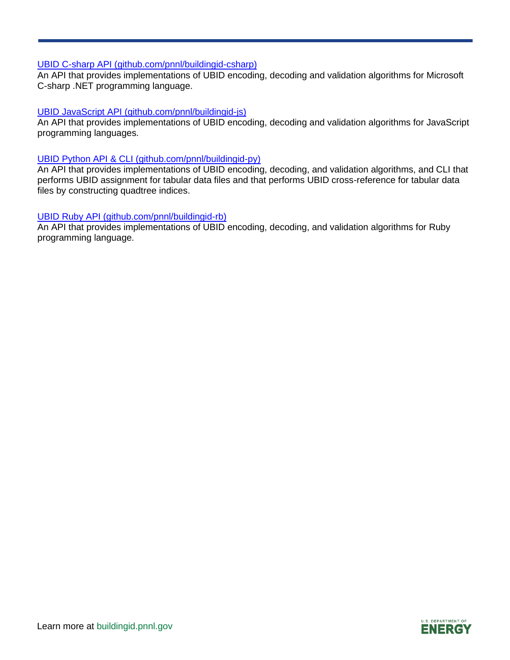#### [UBID C-sharp API \(github.com/pnnl/buildingid-csharp\)](https://github.com/pnnl/buildingid-csharp)

An API that provides implementations of UBID encoding, decoding and validation algorithms for Microsoft C-sharp .NET programming language.

#### [UBID JavaScript API \(github.com/pnnl/buildingid-js\)](https://github.com/pnnl/buildingid-js)

An API that provides implementations of UBID encoding, decoding and validation algorithms for JavaScript programming languages.

#### [UBID Python API & CLI \(github.com/pnnl/buildingid-py\)](https://github.com/pnnl/buildingid-py)

An API that provides implementations of UBID encoding, decoding, and validation algorithms, and CLI that performs UBID assignment for tabular data files and that performs UBID cross-reference for tabular data files by constructing quadtree indices.

#### [UBID Ruby API \(github.com/pnnl/buildingid-rb\)](https://github.com/pnnl/buildingid-rb)

An API that provides implementations of UBID encoding, decoding, and validation algorithms for Ruby programming language.